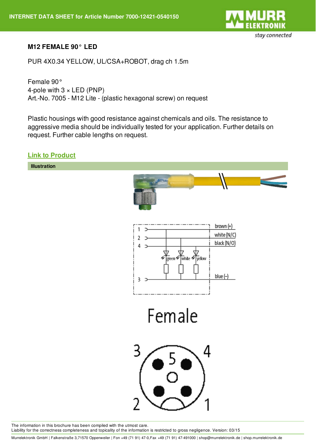

## **M12 FEMALE 90° LED**

PUR 4X0.34 YELLOW, UL/CSA+ROBOT, drag ch 1.5m

Female 90° 4-pole with  $3 \times LED$  (PNP) Art.-No. 7005 - M12 Lite - (plastic hexagonal screw) on request

Plastic housings with good resistance against chemicals and oils. The resistance to aggressive media should be individually tested for your application. Further details on request. Further cable lengths on request.

**Link to [Product](http://shop.murrelektronik.de/7000-12421-0540150?lang=1)**



The information in this brochure has been compiled with the utmost care. Liability for the correctness completeness and topicality of the information is restricted to gross negligence. Version: 03/15

Murrelektronik GmbH | Falkenstraße 3,71570 Oppenweiler | Fon +49 (71 91) 47-0,Fax +49 (71 91) 47-491000 | shop@murrelektronik.de | shop.murrelektronik.de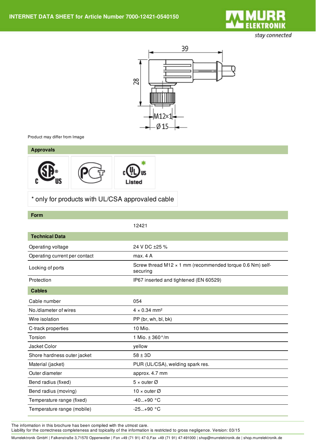

stay connected



Product may differ from Image

## **Approvals**



\* only for products with UL/CSA approvaled cable

## **Form**

|                               | 12421                                                                        |
|-------------------------------|------------------------------------------------------------------------------|
| <b>Technical Data</b>         |                                                                              |
| Operating voltage             | 24 V DC ±25 %                                                                |
| Operating current per contact | max. 4A                                                                      |
| Locking of ports              | Screw thread M12 $\times$ 1 mm (recommended torque 0.6 Nm) self-<br>securing |
| Protection                    | IP67 inserted and tightened (EN 60529)                                       |
| <b>Cables</b>                 |                                                                              |
| Cable number                  | 054                                                                          |
| No./diameter of wires         | $4 \times 0.34$ mm <sup>2</sup>                                              |
| Wire isolation                | PP (br, wh, bl, bk)                                                          |
| C-track properties            | 10 Mio.                                                                      |
| Torsion                       | 1 Mio. $\pm$ 360 $^{\circ}$ /m                                               |
| Jacket Color                  | yellow                                                                       |
| Shore hardness outer jacket   | $58 \pm 3D$                                                                  |
| Material (jacket)             | PUR (UL/CSA), welding spark res.                                             |
| Outer diameter                | approx. 4.7 mm                                                               |
| Bend radius (fixed)           | $5 \times$ outer Ø                                                           |
| Bend radius (moving)          | 10 x outer $\varnothing$                                                     |
| Temperature range (fixed)     | $-40+90$ °C                                                                  |
| Temperature range (mobile)    | $-25+90 °C$                                                                  |

The information in this brochure has been compiled with the utmost care.

Liability for the correctness completeness and topicality of the information is restricted to gross negligence. Version: 03/15

Murrelektronik GmbH | Falkenstraße 3,71570 Oppenweiler | Fon +49 (71 91) 47-0,Fax +49 (71 91) 47-491000 | shop@murrelektronik.de | shop.murrelektronik.de